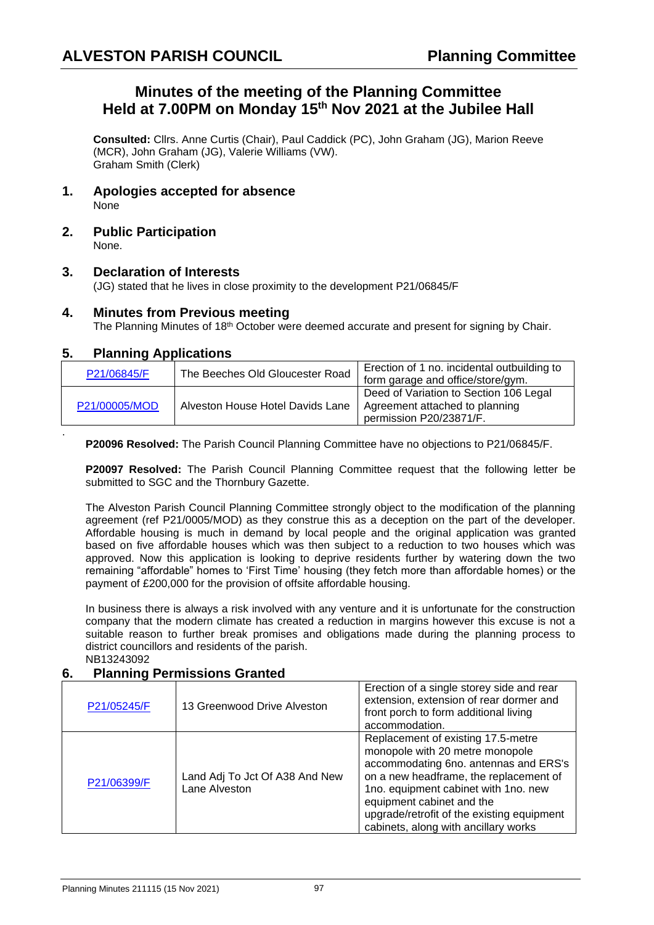# **Minutes of the meeting of the Planning Committee Held at 7.00PM on Monday 15 th Nov 2021 at the Jubilee Hall**

**Consulted:** Cllrs. Anne Curtis (Chair), Paul Caddick (PC), John Graham (JG), Marion Reeve (MCR), John Graham (JG), Valerie Williams (VW). Graham Smith (Clerk)

- **1. Apologies accepted for absence** None
- **2. Public Participation** None.

#### **3. Declaration of Interests**

(JG) stated that he lives in close proximity to the development P21/06845/F

#### **4. Minutes from Previous meeting**

The Planning Minutes of  $18<sup>th</sup>$  October were deemed accurate and present for signing by Chair.

#### **5. Planning Applications**

.

| P21/06845/F   | The Beeches Old Gloucester Road  | Erection of 1 no. incidental outbuilding to<br>form garage and office/store/gym.                    |
|---------------|----------------------------------|-----------------------------------------------------------------------------------------------------|
| P21/00005/MOD | Alveston House Hotel Davids Lane | Deed of Variation to Section 106 Legal<br>Agreement attached to planning<br>permission P20/23871/F. |

**P20096 Resolved:** The Parish Council Planning Committee have no objections to P21/06845/F.

**P20097 Resolved:** The Parish Council Planning Committee request that the following letter be submitted to SGC and the Thornbury Gazette.

The Alveston Parish Council Planning Committee strongly object to the modification of the planning agreement (ref P21/0005/MOD) as they construe this as a deception on the part of the developer. Affordable housing is much in demand by local people and the original application was granted based on five affordable houses which was then subject to a reduction to two houses which was approved. Now this application is looking to deprive residents further by watering down the two remaining "affordable" homes to 'First Time' housing (they fetch more than affordable homes) or the payment of £200,000 for the provision of offsite affordable housing.

In business there is always a risk involved with any venture and it is unfortunate for the construction company that the modern climate has created a reduction in margins however this excuse is not a suitable reason to further break promises and obligations made during the planning process to district councillors and residents of the parish. NB13243092

### **6. Planning Permissions Granted**

| P21/05245/F | 13 Greenwood Drive Alveston                     | Erection of a single storey side and rear<br>extension, extension of rear dormer and<br>front porch to form additional living<br>accommodation.                                                                                                                                                                     |
|-------------|-------------------------------------------------|---------------------------------------------------------------------------------------------------------------------------------------------------------------------------------------------------------------------------------------------------------------------------------------------------------------------|
| P21/06399/F | Land Adj To Jct Of A38 And New<br>Lane Alveston | Replacement of existing 17.5-metre<br>monopole with 20 metre monopole<br>accommodating 6no. antennas and ERS's<br>on a new headframe, the replacement of<br>1no. equipment cabinet with 1no. new<br>equipment cabinet and the<br>upgrade/retrofit of the existing equipment<br>cabinets, along with ancillary works |